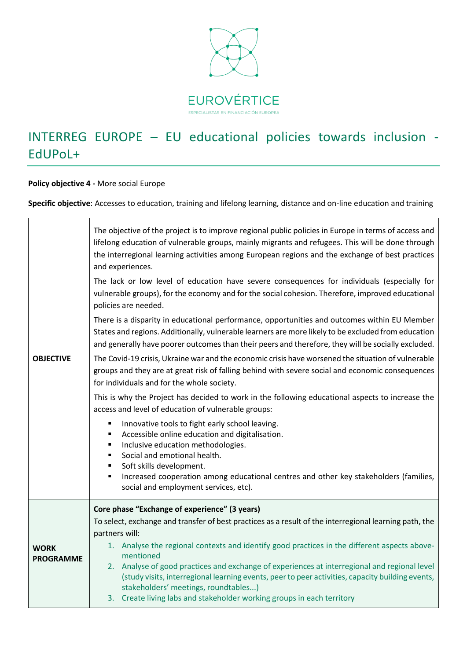

## INTERREG EUROPE – EU educational policies towards inclusion - EdUPoL+

**Policy objective 4 -** More social Europe

**Specific objective**: Accesses to education, training and lifelong learning, distance and on-line education and training

| <b>OBJECTIVE</b>                | The objective of the project is to improve regional public policies in Europe in terms of access and<br>lifelong education of vulnerable groups, mainly migrants and refugees. This will be done through<br>the interregional learning activities among European regions and the exchange of best practices<br>and experiences.<br>The lack or low level of education have severe consequences for individuals (especially for<br>vulnerable groups), for the economy and for the social cohesion. Therefore, improved educational<br>policies are needed.<br>There is a disparity in educational performance, opportunities and outcomes within EU Member<br>States and regions. Additionally, vulnerable learners are more likely to be excluded from education<br>and generally have poorer outcomes than their peers and therefore, they will be socially excluded.<br>The Covid-19 crisis, Ukraine war and the economic crisis have worsened the situation of vulnerable<br>groups and they are at great risk of falling behind with severe social and economic consequences<br>for individuals and for the whole society.<br>This is why the Project has decided to work in the following educational aspects to increase the<br>access and level of education of vulnerable groups:<br>Innovative tools to fight early school leaving.<br>Accessible online education and digitalisation.<br>Inclusive education methodologies.<br>٠<br>Social and emotional health.<br>Soft skills development.<br>Increased cooperation among educational centres and other key stakeholders (families,<br>п<br>social and employment services, etc). |
|---------------------------------|------------------------------------------------------------------------------------------------------------------------------------------------------------------------------------------------------------------------------------------------------------------------------------------------------------------------------------------------------------------------------------------------------------------------------------------------------------------------------------------------------------------------------------------------------------------------------------------------------------------------------------------------------------------------------------------------------------------------------------------------------------------------------------------------------------------------------------------------------------------------------------------------------------------------------------------------------------------------------------------------------------------------------------------------------------------------------------------------------------------------------------------------------------------------------------------------------------------------------------------------------------------------------------------------------------------------------------------------------------------------------------------------------------------------------------------------------------------------------------------------------------------------------------------------------------------------------------------------------------------------------------------------|
| <b>WORK</b><br><b>PROGRAMME</b> | Core phase "Exchange of experience" (3 years)<br>To select, exchange and transfer of best practices as a result of the interregional learning path, the<br>partners will:<br>1. Analyse the regional contexts and identify good practices in the different aspects above-<br>mentioned<br>2. Analyse of good practices and exchange of experiences at interregional and regional level<br>(study visits, interregional learning events, peer to peer activities, capacity building events,<br>stakeholders' meetings, roundtables)<br>3. Create living labs and stakeholder working groups in each territory                                                                                                                                                                                                                                                                                                                                                                                                                                                                                                                                                                                                                                                                                                                                                                                                                                                                                                                                                                                                                                   |